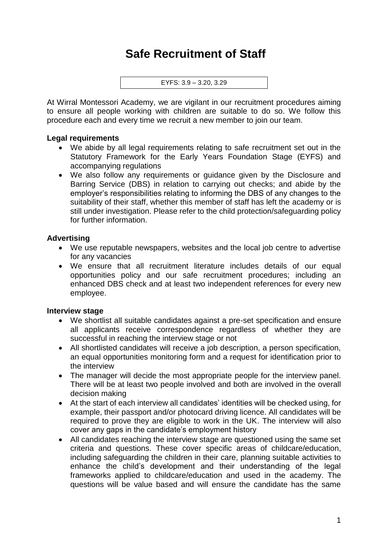# **Safe Recruitment of Staff**

```
EYFS: 3.9 – 3.20, 3.29
```
At Wirral Montessori Academy, we are vigilant in our recruitment procedures aiming to ensure all people working with children are suitable to do so. We follow this procedure each and every time we recruit a new member to join our team.

#### **Legal requirements**

- We abide by all legal requirements relating to safe recruitment set out in the Statutory Framework for the Early Years Foundation Stage (EYFS) and accompanying regulations
- We also follow any requirements or guidance given by the Disclosure and Barring Service (DBS) in relation to carrying out checks; and abide by the employer's responsibilities relating to informing the DBS of any changes to the suitability of their staff, whether this member of staff has left the academy or is still under investigation. Please refer to the child protection/safeguarding policy for further information.

## **Advertising**

- We use reputable newspapers, websites and the local job centre to advertise for any vacancies
- We ensure that all recruitment literature includes details of our equal opportunities policy and our safe recruitment procedures; including an enhanced DBS check and at least two independent references for every new employee.

#### **Interview stage**

- We shortlist all suitable candidates against a pre-set specification and ensure all applicants receive correspondence regardless of whether they are successful in reaching the interview stage or not
- All shortlisted candidates will receive a job description, a person specification, an equal opportunities monitoring form and a request for identification prior to the interview
- The manager will decide the most appropriate people for the interview panel. There will be at least two people involved and both are involved in the overall decision making
- At the start of each interview all candidates' identities will be checked using, for example, their passport and/or photocard driving licence. All candidates will be required to prove they are eligible to work in the UK. The interview will also cover any gaps in the candidate's employment history
- All candidates reaching the interview stage are questioned using the same set criteria and questions. These cover specific areas of childcare/education, including safeguarding the children in their care, planning suitable activities to enhance the child's development and their understanding of the legal frameworks applied to childcare/education and used in the academy. The questions will be value based and will ensure the candidate has the same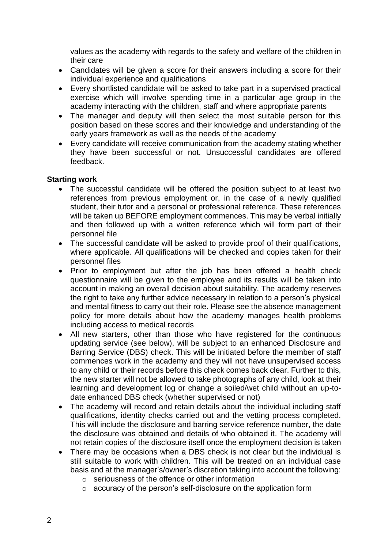values as the academy with regards to the safety and welfare of the children in their care

- Candidates will be given a score for their answers including a score for their individual experience and qualifications
- Every shortlisted candidate will be asked to take part in a supervised practical exercise which will involve spending time in a particular age group in the academy interacting with the children, staff and where appropriate parents
- The manager and deputy will then select the most suitable person for this position based on these scores and their knowledge and understanding of the early years framework as well as the needs of the academy
- Every candidate will receive communication from the academy stating whether they have been successful or not. Unsuccessful candidates are offered feedback.

## **Starting work**

- The successful candidate will be offered the position subject to at least two references from previous employment or, in the case of a newly qualified student, their tutor and a personal or professional reference. These references will be taken up BEFORE employment commences. This may be verbal initially and then followed up with a written reference which will form part of their personnel file
- The successful candidate will be asked to provide proof of their qualifications, where applicable. All qualifications will be checked and copies taken for their personnel files
- Prior to employment but after the job has been offered a health check questionnaire will be given to the employee and its results will be taken into account in making an overall decision about suitability. The academy reserves the right to take any further advice necessary in relation to a person's physical and mental fitness to carry out their role. Please see the absence management policy for more details about how the academy manages health problems including access to medical records
- All new starters, other than those who have registered for the continuous updating service (see below), will be subject to an enhanced Disclosure and Barring Service (DBS) check. This will be initiated before the member of staff commences work in the academy and they will not have unsupervised access to any child or their records before this check comes back clear. Further to this, the new starter will not be allowed to take photographs of any child, look at their learning and development log or change a soiled/wet child without an up-todate enhanced DBS check (whether supervised or not)
- The academy will record and retain details about the individual including staff qualifications, identity checks carried out and the vetting process completed. This will include the disclosure and barring service reference number, the date the disclosure was obtained and details of who obtained it. The academy will not retain copies of the disclosure itself once the employment decision is taken
- There may be occasions when a DBS check is not clear but the individual is still suitable to work with children. This will be treated on an individual case basis and at the manager's/owner's discretion taking into account the following:
	- o seriousness of the offence or other information
	- o accuracy of the person's self-disclosure on the application form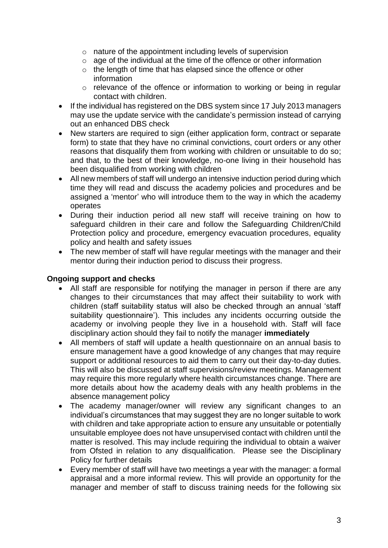- o nature of the appointment including levels of supervision
- o age of the individual at the time of the offence or other information
- o the length of time that has elapsed since the offence or other information
- o relevance of the offence or information to working or being in regular contact with children.
- If the individual has registered on the DBS system since 17 July 2013 managers may use the update service with the candidate's permission instead of carrying out an enhanced DBS check
- New starters are required to sign (either application form, contract or separate form) to state that they have no criminal convictions, court orders or any other reasons that disqualify them from working with children or unsuitable to do so; and that, to the best of their knowledge, no-one living in their household has been disqualified from working with children
- All new members of staff will undergo an intensive induction period during which time they will read and discuss the academy policies and procedures and be assigned a 'mentor' who will introduce them to the way in which the academy operates
- During their induction period all new staff will receive training on how to safeguard children in their care and follow the Safeguarding Children/Child Protection policy and procedure, emergency evacuation procedures, equality policy and health and safety issues
- The new member of staff will have regular meetings with the manager and their mentor during their induction period to discuss their progress.

# **Ongoing support and checks**

- All staff are responsible for notifying the manager in person if there are any changes to their circumstances that may affect their suitability to work with children (staff suitability status will also be checked through an annual 'staff suitability questionnaire'). This includes any incidents occurring outside the academy or involving people they live in a household with. Staff will face disciplinary action should they fail to notify the manager **immediately**
- All members of staff will update a health questionnaire on an annual basis to ensure management have a good knowledge of any changes that may require support or additional resources to aid them to carry out their day-to-day duties. This will also be discussed at staff supervisions/review meetings. Management may require this more regularly where health circumstances change. There are more details about how the academy deals with any health problems in the absence management policy
- The academy manager/owner will review any significant changes to an individual's circumstances that may suggest they are no longer suitable to work with children and take appropriate action to ensure any unsuitable or potentially unsuitable employee does not have unsupervised contact with children until the matter is resolved. This may include requiring the individual to obtain a waiver from Ofsted in relation to any disqualification. Please see the Disciplinary Policy for further details
- Every member of staff will have two meetings a year with the manager: a formal appraisal and a more informal review. This will provide an opportunity for the manager and member of staff to discuss training needs for the following six